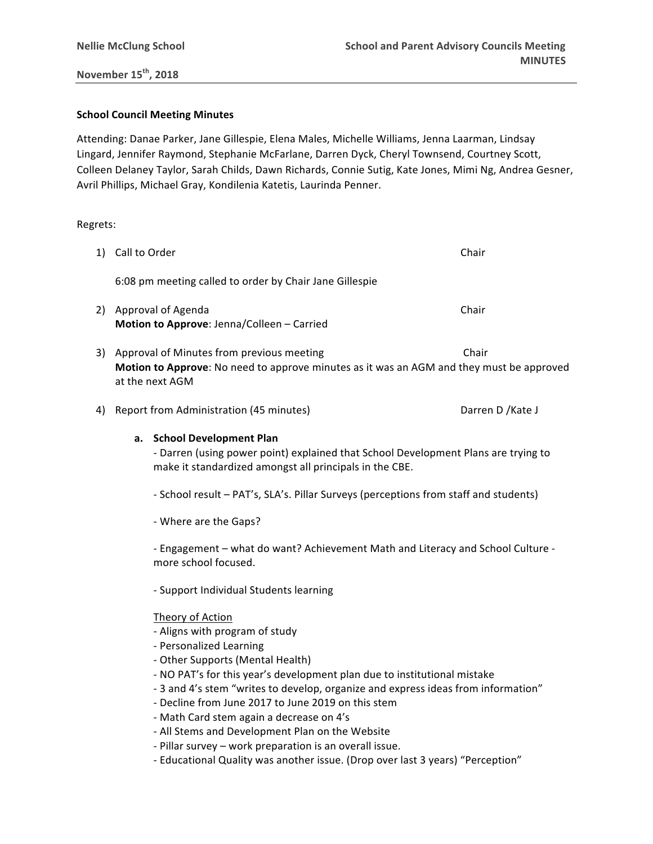**November 15th, 2018**

### **School Council Meeting Minutes**

at the next AGM

Attending: Danae Parker, Jane Gillespie, Elena Males, Michelle Williams, Jenna Laarman, Lindsay Lingard, Jennifer Raymond, Stephanie McFarlane, Darren Dyck, Cheryl Townsend, Courtney Scott, Colleen Delaney Taylor, Sarah Childs, Dawn Richards, Connie Sutig, Kate Jones, Mimi Ng, Andrea Gesner, Avril Phillips, Michael Gray, Kondilenia Katetis, Laurinda Penner.

### Regrets:

| 3) | Approval of Minutes from previous meeting                        | Chair |
|----|------------------------------------------------------------------|-------|
| 2) | Approval of Agenda<br>Motion to Approve: Jenna/Colleen - Carried | Chair |
|    | 6:08 pm meeting called to order by Chair Jane Gillespie          |       |
|    | 1) Call to Order                                                 | Chair |

4) Report from Administration (45 minutes) Darren D /Kate J

### **a. School Development Plan**

- Darren (using power point) explained that School Development Plans are trying to make it standardized amongst all principals in the CBE.

- School result PAT's, SLA's. Pillar Surveys (perceptions from staff and students)
- Where are the Gaps?

- Engagement – what do want? Achievement Math and Literacy and School Culture more school focused.

- Support Individual Students learning

### Theory of Action

- Aligns with program of study
- Personalized Learning
- Other Supports (Mental Health)
- NO PAT's for this year's development plan due to institutional mistake
- 3 and 4's stem "writes to develop, organize and express ideas from information"
- Decline from June 2017 to June 2019 on this stem
- Math Card stem again a decrease on 4's
- All Stems and Development Plan on the Website
- Pillar survey work preparation is an overall issue.
- Educational Quality was another issue. (Drop over last 3 years) "Perception"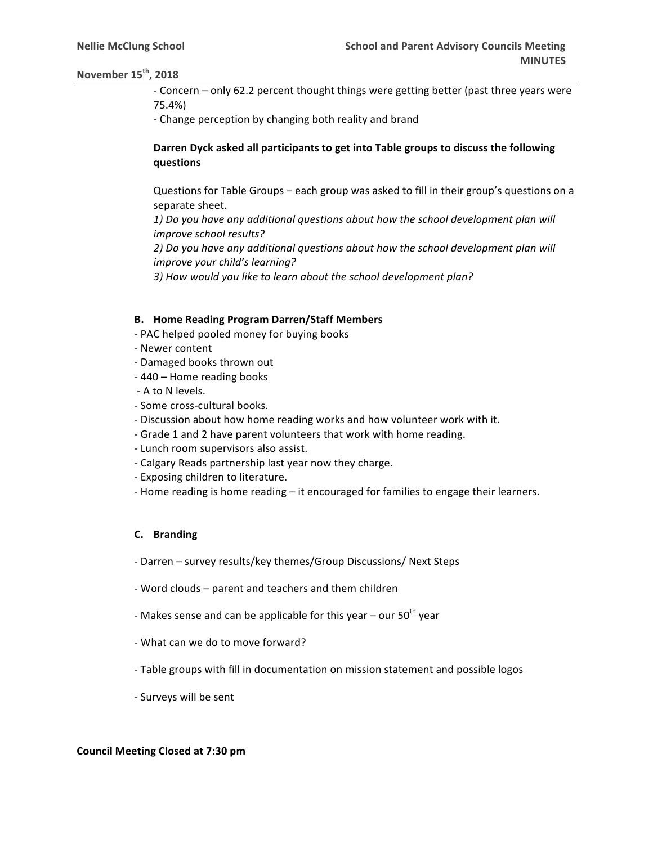## **November 15<sup>th</sup>, 2018**

- Concern – only 62.2 percent thought things were getting better (past three years were 75.4%) 

- Change perception by changing both reality and brand

# Darren Dyck asked all participants to get into Table groups to discuss the following **questions**

Questions for Table Groups – each group was asked to fill in their group's questions on a separate sheet.

1) Do you have any additional questions about how the school development plan will *improve school results?*

2) Do you have any additional questions about how the school development plan will *improve your child's learning?* 

3) How would you like to learn about the school development plan?

#### **B.** Home Reading Program Darren/Staff Members

- PAC helped pooled money for buying books
- Newer content
- Damaged books thrown out
- 440 Home reading books
- A to N levels.
- Some cross-cultural books.
- Discussion about how home reading works and how volunteer work with it.
- Grade 1 and 2 have parent volunteers that work with home reading.
- Lunch room supervisors also assist.
- Calgary Reads partnership last year now they charge.
- Exposing children to literature.
- Home reading is home reading it encouraged for families to engage their learners.

### **C. Branding**

- Darren survey results/key themes/Group Discussions/ Next Steps
- Word clouds parent and teachers and them children
- Makes sense and can be applicable for this year our  $50<sup>th</sup>$  year
- What can we do to move forward?
- Table groups with fill in documentation on mission statement and possible logos
- Surveys will be sent

#### **Council Meeting Closed at 7:30 pm**